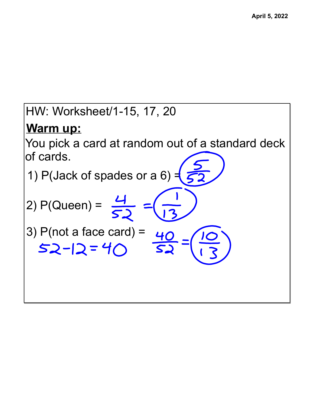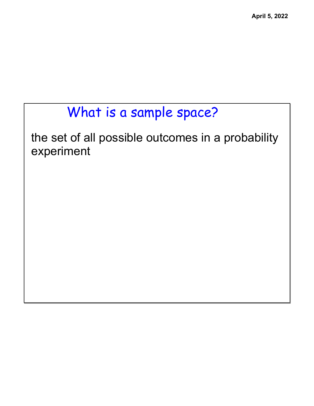## What is a sample space?

the set of all possible outcomes in a probability experiment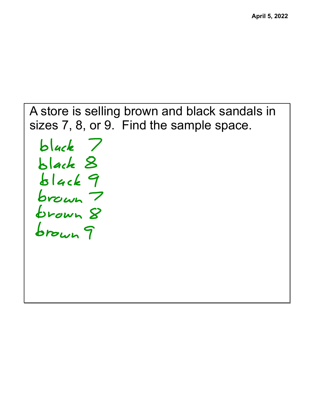A store is selling brown and black sandals in sizes 7, 8, or 9. Find the sample space.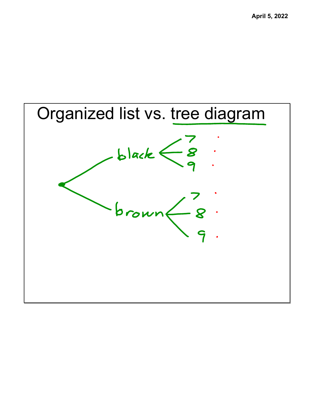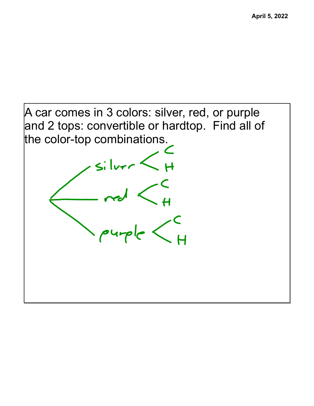A car comes in 3 colors: silver, red, or purple and 2 tops: convertible or hardtop. Find all of the color-top combinations.

 $\frac{1}{2}$ 

 $-170$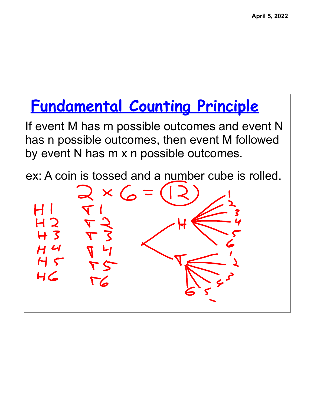## **Fundamental Counting Principle**

If event M has m possible outcomes and event N has n possible outcomes, then event M followed by event N has m x n possible outcomes.

ex: A coin is tossed and a number cube is rolled.

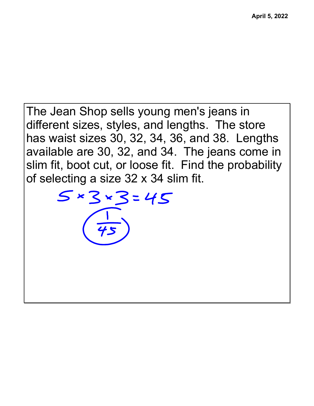The Jean Shop sells young men's jeans in different sizes, styles, and lengths. The store has waist sizes 30, 32, 34, 36, and 38. Lengths available are 30, 32, and 34. The jeans come in slim fit, boot cut, or loose fit. Find the probability of selecting a size 32 x 34 slim fit.

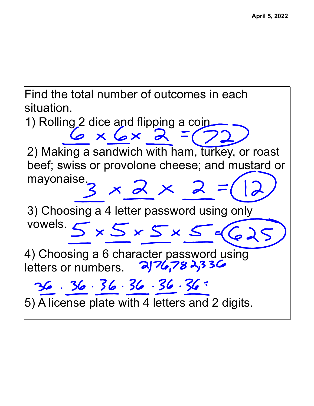Find the total number of outcomes in each situation.

1) Rolling 2 dice and flipping a coin.<br>  $6 \times 6 \times 2 = 6$ 2) Making a sandwich with ham, turkey, or roast beef; swiss or provolone cheese; and mustard or mayonaise.<br> $3 \times 2 \times 2 =$ 3) Choosing a 4 letter password using only vowels.  $5 \times 5 \times 5 \times 5 = 6$ 4) Choosing a 6 character password using letters or numbers. $36.36.36.36.36.36.36$ 5) A license plate with 4 letters and 2 digits.